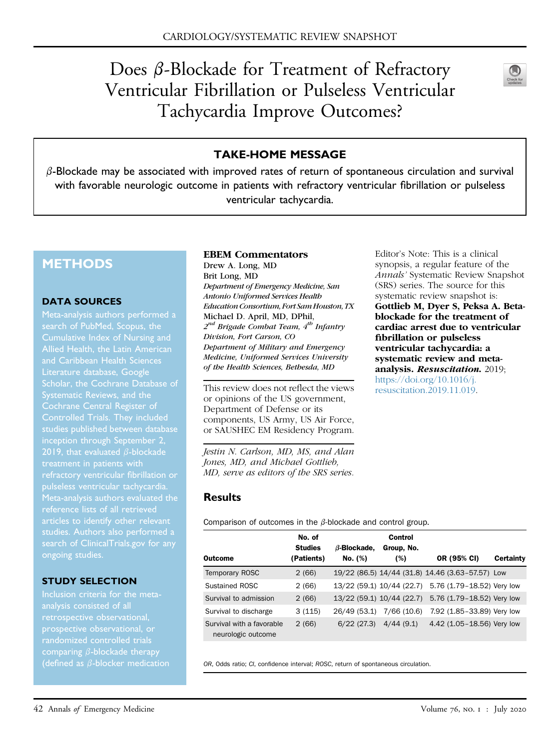# Does  $\beta$ -Blockade for Treatment of Refractory Ventricular Fibrillation or Pulseless Ventricular Tachycardia Improve Outcomes?



## TAKE-HOME MESSAGE

 $\beta$ -Blockade may be associated with improved rates of return of spontaneous circulation and survival with favorable neurologic outcome in patients with refractory ventricular fibrillation or pulseless ventricular tachycardia.

# **METHODS**

#### DATA SOURCES

Cumulative Index of Nursing and Allied Health, the Latin American and Caribbean Health Sciences Literature database, Google Cochrane Central Register of Controlled Trials. They included inception through September 2, 2019, that evaluated  $\beta$ -blockade pulseless ventricular tachycardia. search of [ClinicalTrials.gov](http://ClinicalTrials.gov) for any ongoing studies.

#### STUDY SELECTION

analysis consisted of all randomized controlled trials comparing  $\beta$ -blockade therapy (defined as  $\beta$ -blocker medication

#### EBEM Commentators

Drew A. Long, MD Brit Long, MD Department of Emergency Medicine, San Antonio Uniformed Services Health Education Consortium, Fort Sam Houston, TX Michael D. April, MD, DPhil,  $2^{nd}$  Brigade Combat Team,  $4^{th}$  Infantry Division, Fort Carson, CO Department of Military and Emergency Medicine, Uniformed Services University of the Health Sciences, Bethesda, MD

This review does not reflect the views or opinions of the US government, Department of Defense or its components, US Army, US Air Force, or SAUSHEC EM Residency Program.

Jestin N. Carlson, MD, MS, and Alan Jones, MD, and Michael Gottlieb, MD, serve as editors of the SRS series.

Editor's Note: This is a clinical synopsis, a regular feature of the Annals' Systematic Review Snapshot (SRS) series. The source for this systematic review snapshot is: Gottlieb M, Dyer S, Peksa A. Betablockade for the treatment of cardiac arrest due to ventricular fibrillation or pulseless ventricular tachycardia: a systematic review and metaanalysis. Resuscitation. 2019; [https://doi.org/10.1016/j.](https://doi.org/10.1016/j.resuscitation.2019.11.019) [resuscitation.2019.11.019.](https://doi.org/10.1016/j.resuscitation.2019.11.019)

### **Results**

<span id="page-0-0"></span>Comparison of outcomes in the  $\beta$ -blockade and control group.

| Outcome                                         | No. of<br><b>Studies</b><br>(Patients) | $\beta$ -Blockade,<br>No. (%) | Control<br>Group, No.<br>(%) | OR (95% CI)                                      | Certainty |
|-------------------------------------------------|----------------------------------------|-------------------------------|------------------------------|--------------------------------------------------|-----------|
| <b>Temporary ROSC</b>                           | 2(66)                                  |                               |                              | 19/22 (86.5) 14/44 (31.8) 14.46 (3.63-57.57) Low |           |
| Sustained ROSC                                  | 2(66)                                  |                               | 13/22 (59.1) 10/44 (22.7)    | 5.76 (1.79-18.52) Very low                       |           |
| Survival to admission                           | 2(66)                                  |                               | 13/22 (59.1) 10/44 (22.7)    | 5.76 (1.79-18.52) Very low                       |           |
| Survival to discharge                           | 3(115)                                 | 26/49 (53.1)                  | 7/66 (10.6)                  | 7.92 (1.85-33.89) Very low                       |           |
| Survival with a favorable<br>neurologic outcome | 2(66)                                  | 6/22(27.3)                    | 4/44(9.1)                    | 4.42 (1.05-18.56) Very low                       |           |

OR, Odds ratio; CI, confidence interval; ROSC, return of spontaneous circulation.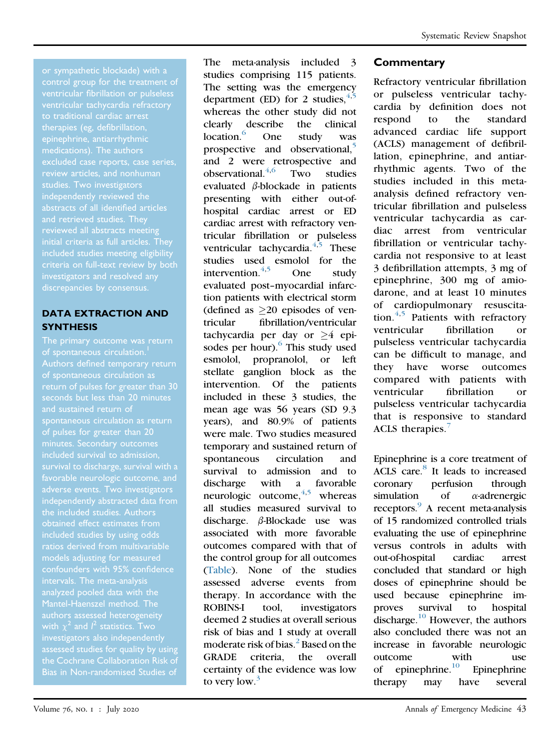control group for the treatment of ventricular fibrillation or pulseless to traditional cardiac arrest therapies (eg, defibrillation, excluded case reports, case series, review articles, and nonhuman studies. Two investigators abstracts of all identified articles and retrieved studies. They reviewed all abstracts meeting initial criteria as full articles. They included studies meeting eligibility criteria on full-text review by both investigators and resolved any

### DATA EXTRACTION AND **SYNTHESIS**

of spontaneous circulation.<sup>[1](#page-2-8)</sup> of spontaneous circulation as return of pulses for greater than 30 seconds but less than 20 minutes and sustained return of spontaneous circulation as return of pulses for greater than 20 minutes. Secondary outcomes survival to discharge, survival with a favorable neurologic outcome, and adverse events. Two investigators independently abstracted data from the included studies. Authors obtained effect estimates from included studies by using odds ratios derived from multivariable models adjusting for measured intervals. The meta-analysis analyzed pooled data with the Mantel-Haenszel method. The authors assessed heterogeneity investigators also independently assessed studies for quality by using the Cochrane Collaboration Risk of Bias in Non-randomised Studies of

The meta-analysis included 3 studies comprising 115 patients. The setting was the emergency department (ED) for 2 studies,  $4.5$  $4.5$ whereas the other study did not clearly describe the clinical location.<sup>[6](#page-2-2)</sup> One study was prospective and observational,<sup>[5](#page-2-1)</sup> and 2 were retrospective and observational. $4,6$  $4,6$  $4,6$  Two studies evaluated  $\beta$ -blockade in patients presenting with either out-ofhospital cardiac arrest or ED cardiac arrest with refractory ventricular fibrillation or pulseless ventricular tachycardia. $4,5$  $4,5$  These studies used esmolol for the intervention. $4,5$  $4,5$  One study evaluated post–myocardial infarction patients with electrical storm (defined as  $\geq$ 20 episodes of ven-<br>tricular fibrillation/ventricular fibrillation/ventricular tachycardia per day or  $\geq 4$  epi-sodes per hour).<sup>[6](#page-2-2)</sup> This study used esmolol, propranolol, or left stellate ganglion block as the intervention. Of the patients included in these 3 studies, the mean age was 56 years (SD 9.3 years), and 80.9% of patients were male. Two studies measured temporary and sustained return of spontaneous circulation and survival to admission and to discharge with a favorable neurologic outcome,  $4,5$  $4,5$  whereas all studies measured survival to discharge.  $\beta$ -Blockade use was associated with more favorable outcomes compared with that of the control group for all outcomes ([Table\)](#page-0-0). None of the studies assessed adverse events from therapy. In accordance with the ROBINS-I tool, investigators deemed 2 studies at overall serious risk of bias and 1 study at overall moderate risk of bias.<sup>[2](#page-2-3)</sup> Based on the GRADE criteria, the overall certainty of the evidence was low to very low. $3$ 

## **Commentary**

Refractory ventricular fibrillation or pulseless ventricular tachycardia by definition does not respond to the standard advanced cardiac life support (ACLS) management of defibrillation, epinephrine, and antiarrhythmic agents. Two of the studies included in this metaanalysis defined refractory ventricular fibrillation and pulseless ventricular tachycardia as cardiac arrest from ventricular fibrillation or ventricular tachycardia not responsive to at least 3 defibrillation attempts, 3 mg of epinephrine, 300 mg of amiodarone, and at least 10 minutes of cardiopulmonary resuscitation. $4,5$  $4,5$  Patients with refractory ventricular fibrillation or pulseless ventricular tachycardia can be difficult to manage, and they have worse outcomes compared with patients with ventricular fibrillation or pulseless ventricular tachycardia that is responsive to standard ACLS therapies.<sup>[7](#page-2-5)</sup>

Epinephrine is a core treatment of ACLS care.<sup>[8](#page-2-6)</sup> It leads to increased coronary perfusion through simulation of  $\alpha$ -adrenergic receptors.<sup>9</sup> A recent meta-analysis of 15 randomized controlled trials evaluating the use of epinephrine versus controls in adults with out-of-hospital cardiac arrest concluded that standard or high doses of epinephrine should be used because epinephrine improves survival to hospital discharge. $^{10}$  $^{10}$  $^{10}$  However, the authors also concluded there was not an increase in favorable neurologic outcome with use of epinephrine. $\frac{10}{10}$  $\frac{10}{10}$  $\frac{10}{10}$  Epinephrine therapy may have several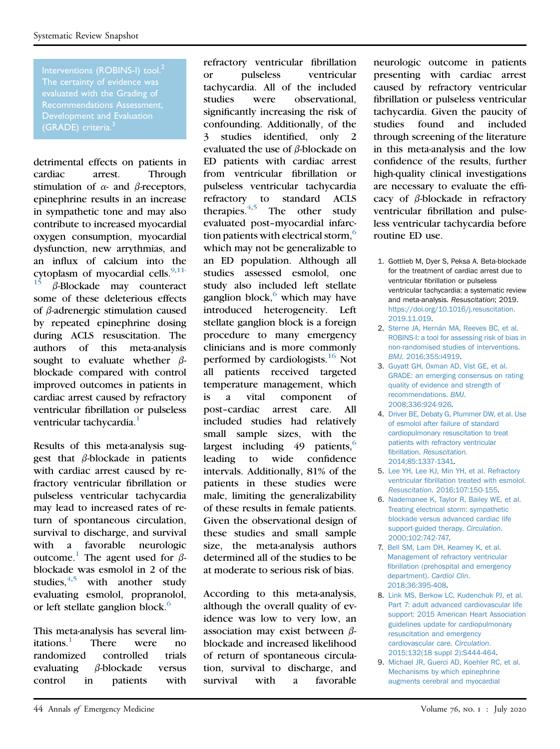Interventions (ROBINS-I) tool.<sup>[2](#page-2-3)</sup> evaluated with the Grading of Development and Evaluation (GRADE) criteria.<sup>[3](#page-2-4)</sup>

detrimental effects on patients in cardiac arrest. Through stimulation of  $\alpha$ - and  $\beta$ -receptors, epinephrine results in an increase in sympathetic tone and may also contribute to increased myocardial oxygen consumption, myocardial dysfunction, new arrythmias, and an influx of calcium into the cytoplasm of myocardial cells.  $\frac{9,11}{15}$  R Blockade may counteract  $\beta$ -Blockade may counteract some of these deleterious effects of  $\beta$ -adrenergic stimulation caused by repeated epinephrine dosing during ACLS resuscitation. The authors of this meta-analysis sought to evaluate whether  $\beta$ blockade compared with control improved outcomes in patients in cardiac arrest caused by refractory ventricular fibrillation or pulseless ventricular tachycardia.<sup>1</sup>

Results of this meta-analysis suggest that  $\beta$ -blockade in patients with cardiac arrest caused by refractory ventricular fibrillation or pulseless ventricular tachycardia may lead to increased rates of return of spontaneous circulation, survival to discharge, and survival with a favorable neurologic outcome.<sup>[1](#page-2-8)</sup> The agent used for  $\beta$ blockade was esmolol in 2 of the studies. $4,5$  $4,5$  with another study evaluating esmolol, propranolol, or left stellate ganglion block.<sup>[6](#page-2-2)</sup>

This meta-analysis has several limitations. $\frac{1}{1}$  There were no randomized controlled trials evaluating  $\beta$ -blockade versus control in patients with refractory ventricular fibrillation or pulseless ventricular tachycardia. All of the included studies were observational, significantly increasing the risk of confounding. Additionally, of the 3 studies identified, only 2 evaluated the use of  $\beta$ -blockade on ED patients with cardiac arrest from ventricular fibrillation or pulseless ventricular tachycardia refractory to standard ACLS therapies. $4,5$  $4,5$  The other study evaluated post–myocardial infarction patients with electrical storm, $<sup>6</sup>$  $<sup>6</sup>$  $<sup>6</sup>$ </sup> which may not be generalizable to an ED population. Although all studies assessed esmolol, one study also included left stellate ganglion block, $6$  which may have introduced heterogeneity. Left stellate ganglion block is a foreign procedure to many emergency clinicians and is more commonly performed by cardiologists.<sup>[16](#page-3-2)</sup> Not all patients received targeted temperature management, which is a vital component of post–cardiac arrest care. All included studies had relatively small sample sizes, with the largest including  $49$  patients,<sup>[6](#page-2-2)</sup> leading to wide confidence intervals. Additionally, 81% of the patients in these studies were male, limiting the generalizability of these results in female patients. Given the observational design of these studies and small sample size, the meta-analysis authors determined all of the studies to be at moderate to serious risk of bias.

According to this meta-analysis, although the overall quality of evidence was low to very low, an association may exist between  $\beta$ blockade and increased likelihood of return of spontaneous circulation, survival to discharge, and survival with a favorable neurologic outcome in patients presenting with cardiac arrest caused by refractory ventricular fibrillation or pulseless ventricular tachycardia. Given the paucity of studies found and included through screening of the literature in this meta-analysis and the low confidence of the results, further high-quality clinical investigations are necessary to evaluate the efficacy of  $\beta$ -blockade in refractory ventricular fibrillation and pulseless ventricular tachycardia before routine ED use.

- <span id="page-2-8"></span>1. Gottlieb M, Dyer S, Peksa A. Beta-blockade for the treatment of cardiac arrest due to ventricular fibrillation or pulseless ventricular tachycardia: a systematic review and meta-analysis. Resuscitation; 2019. [https://doi.org/10.1016/j.resuscitation.](https://doi.org/10.1016/j.resuscitation.2019.11.019) [2019.11.019](https://doi.org/10.1016/j.resuscitation.2019.11.019).
- <span id="page-2-3"></span>2. [Sterne JA, Hernán MA, Reeves BC, et al.](http://refhub.elsevier.com/S0196-0644(20)30049-4/sref2) [ROBINS-I: a tool for assessing risk of bias in](http://refhub.elsevier.com/S0196-0644(20)30049-4/sref2) [non-randomised studies of interventions.](http://refhub.elsevier.com/S0196-0644(20)30049-4/sref2) BMJ[. 2016;355:i4919.](http://refhub.elsevier.com/S0196-0644(20)30049-4/sref2)
- <span id="page-2-4"></span>3. [Guyatt GH, Oxman AD, Vist GE, et al.](http://refhub.elsevier.com/S0196-0644(20)30049-4/sref3) [GRADE: an emerging consensus on rating](http://refhub.elsevier.com/S0196-0644(20)30049-4/sref3) [quality of evidence and strength of](http://refhub.elsevier.com/S0196-0644(20)30049-4/sref3) [recommendations.](http://refhub.elsevier.com/S0196-0644(20)30049-4/sref3) BMJ. [2008;336:924-926.](http://refhub.elsevier.com/S0196-0644(20)30049-4/sref3)
- <span id="page-2-0"></span>4. [Driver BE, Debaty G, Plummer DW, et al. Use](http://refhub.elsevier.com/S0196-0644(20)30049-4/sref4) [of esmolol after failure of standard](http://refhub.elsevier.com/S0196-0644(20)30049-4/sref4) [cardiopulmonary resuscitation to treat](http://refhub.elsevier.com/S0196-0644(20)30049-4/sref4) [patients with refractory ventricular](http://refhub.elsevier.com/S0196-0644(20)30049-4/sref4) fibrillation. [Resuscitation](http://refhub.elsevier.com/S0196-0644(20)30049-4/sref4). [2014;85:1337-1341.](http://refhub.elsevier.com/S0196-0644(20)30049-4/sref4)
- <span id="page-2-1"></span>5. [Lee YH, Lee KJ, Min YH, et al. Refractory](http://refhub.elsevier.com/S0196-0644(20)30049-4/sref5) ventricular fi[brillation treated with esmolol.](http://refhub.elsevier.com/S0196-0644(20)30049-4/sref5) Resuscitation[. 2016;107:150-155.](http://refhub.elsevier.com/S0196-0644(20)30049-4/sref5)
- <span id="page-2-2"></span>6. [Nademanee K, Taylor R, Bailey WE, et al.](http://refhub.elsevier.com/S0196-0644(20)30049-4/sref6) [Treating electrical storm: sympathetic](http://refhub.elsevier.com/S0196-0644(20)30049-4/sref6) [blockade versus advanced cardiac life](http://refhub.elsevier.com/S0196-0644(20)30049-4/sref6) [support-guided therapy.](http://refhub.elsevier.com/S0196-0644(20)30049-4/sref6) Circulation. [2000;102:742-747.](http://refhub.elsevier.com/S0196-0644(20)30049-4/sref6)
- <span id="page-2-5"></span>7. [Bell SM, Lam DH, Kearney K, et al.](http://refhub.elsevier.com/S0196-0644(20)30049-4/sref7) [Management of refractory ventricular](http://refhub.elsevier.com/S0196-0644(20)30049-4/sref7) fi[brillation \(prehospital and emergency](http://refhub.elsevier.com/S0196-0644(20)30049-4/sref7) [department\).](http://refhub.elsevier.com/S0196-0644(20)30049-4/sref7) Cardiol Clin. [2018;36:395-408](http://refhub.elsevier.com/S0196-0644(20)30049-4/sref7).
- <span id="page-2-6"></span>8. [Link MS, Berkow LC, Kudenchuk PJ, et al.](http://refhub.elsevier.com/S0196-0644(20)30049-4/sref8) [Part 7: adult advanced cardiovascular life](http://refhub.elsevier.com/S0196-0644(20)30049-4/sref8) [support: 2015 American Heart Association](http://refhub.elsevier.com/S0196-0644(20)30049-4/sref8) [guidelines update for cardiopulmonary](http://refhub.elsevier.com/S0196-0644(20)30049-4/sref8) [resuscitation and emergency](http://refhub.elsevier.com/S0196-0644(20)30049-4/sref8) [cardiovascular care.](http://refhub.elsevier.com/S0196-0644(20)30049-4/sref8) Circulation. [2015;132\(18 suppl 2\):S444-464](http://refhub.elsevier.com/S0196-0644(20)30049-4/sref8).
- <span id="page-2-7"></span>9. [Michael JR, Guerci AD, Koehler RC, et al.](http://refhub.elsevier.com/S0196-0644(20)30049-4/sref9) [Mechanisms by which epinephrine](http://refhub.elsevier.com/S0196-0644(20)30049-4/sref9) [augments cerebral and myocardial](http://refhub.elsevier.com/S0196-0644(20)30049-4/sref9)